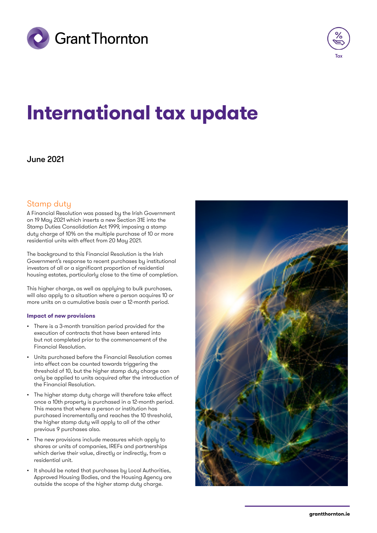



# **International tax update**

## June 2021

# Stamp duty

A Financial Resolution was passed by the Irish Government on 19 May 2021 which inserts a new Section 31E into the Stamp Duties Consolidation Act 1999, imposing a stamp duty charge of 10% on the multiple purchase of 10 or more residential units with effect from 20 May 2021.

The background to this Financial Resolution is the Irish Government's response to recent purchases by institutional investors of all or a significant proportion of residential housing estates, particularly close to the time of completion.

This higher charge, as well as applying to bulk purchases, will also apply to a situation where a person acquires 10 or more units on a cumulative basis over a 12-month period.

## **Impact of new provisions**

- There is a 3-month transition period provided for the execution of contracts that have been entered into but not completed prior to the commencement of the Financial Resolution.
- Units purchased before the Financial Resolution comes into effect can be counted towards triggering the threshold of 10, but the higher stamp duty charge can only be applied to units acquired after the introduction of the Financial Resolution.
- The higher stamp duty charge will therefore take effect once a 10th property is purchased in a 12-month period. This means that where a person or institution has purchased incrementally and reaches the 10 threshold, the higher stamp duty will apply to all of the other previous 9 purchases also.
- The new provisions include measures which apply to shares or units of companies, IREFs and partnerships which derive their value, directly or indirectly, from a residential unit.
- It should be noted that purchases by Local Authorities, Approved Housing Bodies, and the Housing Agency are outside the scope of the higher stamp duty charge.

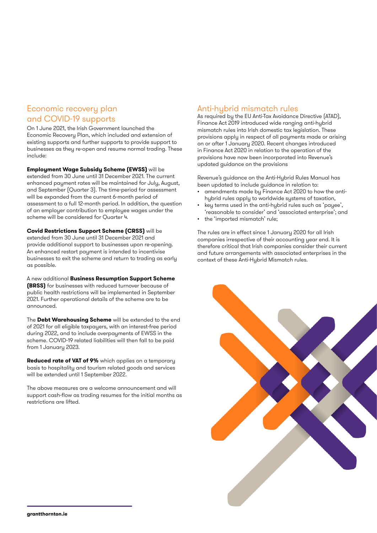# Economic recovery plan and COVID-19 supports

On 1 June 2021, the Irish Government launched the Economic Recovery Plan, which included and extension of existing supports and further supports to provide support to businesses as they re-open and resume normal trading. These include:

**Employment Wage Subsidy Scheme (EWSS)** will be extended from 30 June until 31 December 2021. The current enhanced payment rates will be maintained for July, August, and September (Quarter 3). The time-period for assessment will be expanded from the current 6-month period of assessment to a full 12-month period. In addition, the question of an employer contribution to employee wages under the scheme will be considered for Quarter 4.

**Covid Restrictions Support Scheme (CRSS)** will be extended from 30 June until 31 December 2021 and provide additional support to businesses upon re-opening. An enhanced restart payment is intended to incentivise businesses to exit the scheme and return to trading as early as possible.

A new additional **Business Resumption Support Scheme (BRSS)** for businesses with reduced turnover because of public health restrictions will be implemented in September 2021. Further operational details of the scheme are to be announced.

The **Debt Warehousing Scheme** will be extended to the end of 2021 for all eligible taxpayers, with an interest-free period during 2022, and to include overpayments of EWSS in the scheme. COVID-19 related liabilities will then fall to be paid from 1 January 2023.

**Reduced rate of VAT of 9%** which applies on a temporary basis to hospitality and tourism related goods and services will be extended until 1 September 2022.

The above measures are a welcome announcement and will support cash-flow as trading resumes for the initial months as restrictions are lifted.

## Anti-hybrid mismatch rules

As required by the EU Anti-Tax Avoidance Directive (ATAD), Finance Act 2019 introduced wide ranging anti-hybrid mismatch rules into Irish domestic tax legislation. These provisions apply in respect of all payments made or arising on or after 1 January 2020. Recent changes introduced in Finance Act 2020 in relation to the operation of the provisions have now been incorporated into Revenue's updated guidance on the provisions

Revenue's guidance on the Anti-Hybrid Rules Manual has been updated to include guidance in relation to:

- amendments made by Finance Act 2020 to how the antihybrid rules apply to worldwide systems of taxation,
- key terms used in the anti-hybrid rules such as 'payee', 'reasonable to consider' and 'associated enterprise'; and
- the 'imported mismatch' rule;

The rules are in effect since 1 January 2020 for all Irish companies irrespective of their accounting year end. It is therefore critical that Irish companies consider their current and future arrangements with associated enterprises in the context of these Anti-Hybrid Mismatch rules.

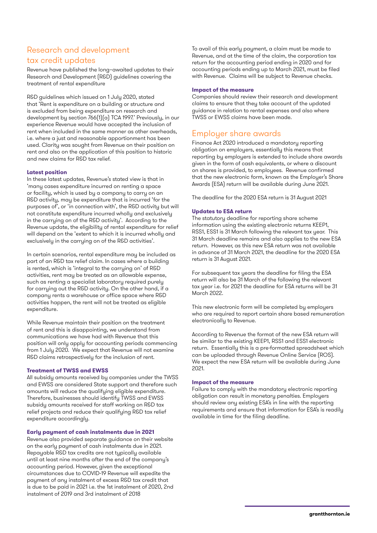# Research and development tax credit updates

Revenue have published the long–awaited updates to their Research and Development (R&D) guidelines covering the treatment of rental expenditure

R&D guidelines which issued on 1 July 2020, stated that 'Rent is expenditure on a building or structure and is excluded from being expenditure on research and development by section 766(1)(a) TCA 1997.' Previously, in our experience Revenue would have accepted the inclusion of rent when included in the same manner as other overheads, i.e. where a just and reasonable apportionment has been used. Clarity was sought from Revenue on their position on rent and also on the application of this position to historic and new claims for R&D tax relief.

## **Latest position**

In these latest updates, Revenue's stated view is that in 'many cases expenditure incurred on renting a space or facility, which is used by a company to carry on an R&D activity, may be expenditure that is incurred 'for the purposes of', or 'in connection with', the R&D activity but will not constitute expenditure incurred wholly and exclusively in the carrying on of the R&D activity'. According to the Revenue update, the eligibility of rental expenditure for relief will depend on the 'extent to which it is incurred wholly and exclusively in the carrying on of the R&D activities'.

In certain scenarios, rental expenditure may be included as part of an R&D tax relief claim. In cases where a building is rented, which is 'integral to the carrying on' of R&D activities, rent may be treated as an allowable expense, such as renting a specialist laboratory required purely for carrying out the R&D activity. On the other hand, if a company rents a warehouse or office space where R&D activities happen, the rent will not be treated as eligible expenditure.

While Revenue maintain their position on the treatment of rent and this is disappointing, we understand from communications we have had with Revenue that this position will only apply for accounting periods commencing from 1 July 2020. We expect that Revenue will not examine R&D claims retrospectively for the inclusion of rent.

#### **Treatment of TWSS and EWSS**

All subsidy amounts received by companies under the TWSS and EWSS are considered State support and therefore such amounts will reduce the qualifying eligible expenditure. Therefore, businesses should identify TWSS and EWSS subsidy amounts received for staff working on R&D tax relief projects and reduce their qualifying R&D tax relief expenditure accordingly.

## **Early payment of cash instalments due in 2021**

Revenue also provided separate guidance on their website on the early payment of cash instalments due in 2021. Repayable R&D tax credits are not typically available until at least nine months after the end of the company's accounting period. However, given the exceptional circumstances due to COVID-19 Revenue will expedite the payment of any instalment of excess R&D tax credit that is due to be paid in 2021 i.e. the 1st instalment of 2020, 2nd instalment of 2019 and 3rd instalment of 2018

To avail of this early payment, a claim must be made to Revenue, and at the time of the claim, the corporation tax return for the accounting period ending in 2020 and for accounting periods ending up to March 2021, must be filed with Revenue. Claims will be subject to Revenue checks.

#### **Impact of the measure**

Companies should review their research and development claims to ensure that they take account of the updated guidance in relation to rental expenses and also where TWSS or EWSS claims have been made.

## Employer share awards

Finance Act 2020 introduced a mandatory reporting obligation on employers, essentially this means that reporting by employers is extended to include share awards given in the form of cash equivalents, or where a discount on shares is provided, to employees. Revenue confirmed that the new electronic form, known as the Employer's Share Awards (ESA) return will be available during June 2021.

The deadline for the 2020 ESA return is 31 August 2021

### **Updates to ESA return**

The statutory deadline for reporting share scheme information using the existing electronic returns KEEP1, RSS1, ESS1 is 31 March following the relevant tax year. This 31 March deadline remains and also applies to the new ESA return. However, as this new ESA return was not available in advance of 31 March 2021, the deadline for the 2020 ESA return is 31 August 2021.

For subsequent tax years the deadline for filing the ESA return will also be 31 March of the following the relevant tax year i.e. for 2021 the deadline for ESA returns will be 31 March 2022.

This new electronic form will be completed by employers who are required to report certain share based remuneration electronically to Revenue.

According to Revenue the format of the new ESA return will be similar to the existing KEEP1, RSS1 and ESS1 electronic return. Essentially this is a pre-formatted spreadsheet which can be uploaded through Revenue Online Service (ROS). We expect the new ESA return will be available during June 2021.

#### **Impact of the measure**

Failure to comply with the mandatory electronic reporting obligation can result in monetary penalties. Employers should review any existing ESA's in line with the reporting requirements and ensure that information for ESA's is readily available in time for the filing deadline.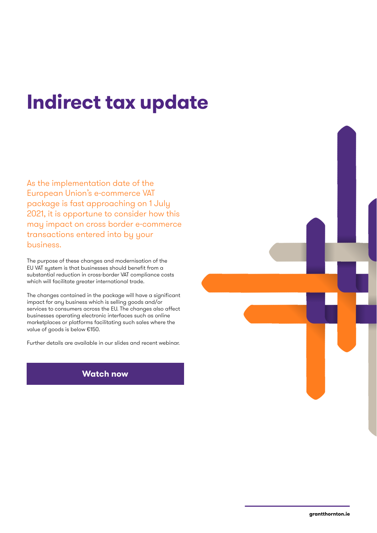# **Indirect tax update**

As the implementation date of the European Union's e-commerce VAT package is fast approaching on 1 July 2021, it is opportune to consider how this may impact on cross border e-commerce transactions entered into by your business.

The purpose of these changes and modernisation of the EU VAT system is that businesses should benefit from a substantial reduction in cross-border VAT compliance costs which will facilitate greater international trade.

The changes contained in the package will have a significant impact for any business which is selling goods and/or services to consumers across the EU. The changes also affect businesses operating electronic interfaces such as online marketplaces or platforms facilitating such sales where the value of goods is below €150.

Further details are available in our slides and recent webinar.

## **[Watch now](https://www.grantthornton.ie/insights/webinars/vat-e-commerce-changes-from-1-july-2021/.)**